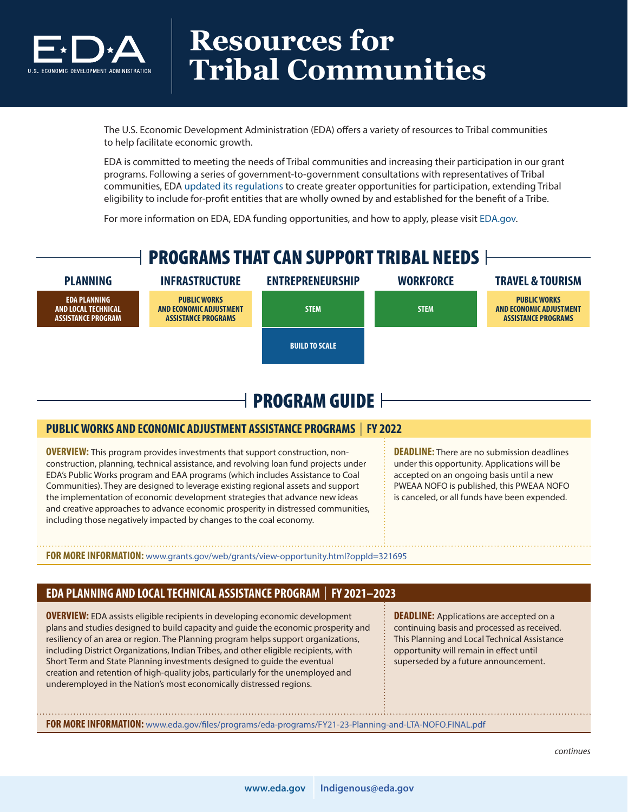

### **Resources for Tribal Communities**

The U.S. Economic Development Administration (EDA) offers a variety of resources to Tribal communities to help facilitate economic growth.

EDA is committed to meeting the needs of Tribal communities and increasing their participation in our grant programs. Following a series of government-to-government consultations with representatives of Tribal communities, EDA [updated its regulations](https://eda.gov/news/blogs/2021/09/24/updated-regulations-native-american-communities.htm#:~:text=September%2024%2C%202021&text=The%20new%20rule%2C%20published%20today,the%20benefit%20of%20a%20Tribe.) to create greater opportunities for participation, extending Tribal eligibility to include for-profit entities that are wholly owned by and established for the benefit of a Tribe.

For more information on EDA, EDA funding opportunities, and how to apply, please visit [EDA.g](http://EDA.GOV)ov.